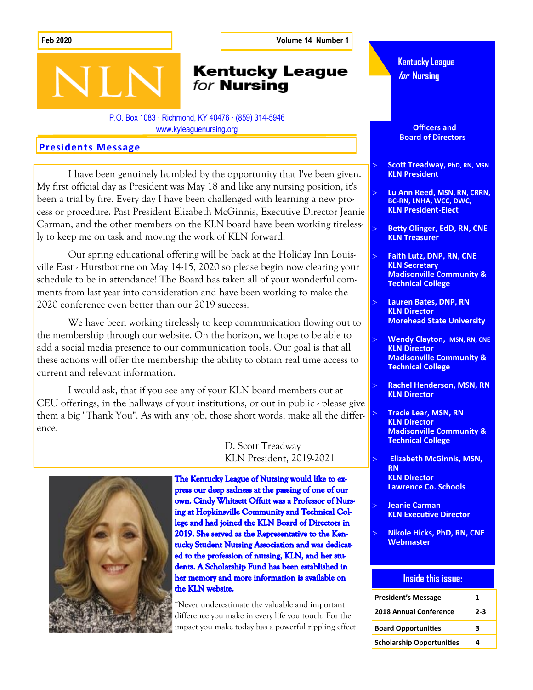**Feb 2020 Volume 14 Number 1**

## **Kentucky League** for **Nursing**

P.O. Box 1083 · Richmond, KY 40476 · (859) 314-5946 www.kyleaguenursing.org

#### **Presidents Message**

**SIN** 

I have been genuinely humbled by the opportunity that I've been given. My first official day as President was May 18 and like any nursing position, it's been a trial by fire. Every day I have been challenged with learning a new process or procedure. Past President Elizabeth McGinnis, Executive Director Jeanie Carman, and the other members on the KLN board have been working tirelessly to keep me on task and moving the work of KLN forward.

Our spring educational offering will be back at the Holiday Inn Louisville East - Hurstbourne on May 14-15, 2020 so please begin now clearing your schedule to be in attendance! The Board has taken all of your wonderful comments from last year into consideration and have been working to make the 2020 conference even better than our 2019 success.

We have been working tirelessly to keep communication flowing out to the membership through our website. On the horizon, we hope to be able to add a social media presence to our communication tools. Our goal is that all these actions will offer the membership the ability to obtain real time access to current and relevant information.

I would ask, that if you see any of your KLN board members out at CEU offerings, in the hallways of your institutions, or out in public - please give them a big "Thank You". As with any job, those short words, make all the difference.

> D. Scott Treadway KLN President, 2019-2021



The Kentucky League of Nursing would like to express our deep sadness at the passing of one of our own. Cindy Whitsett Offutt was a Professor of Nursing at Hopkinsville Community and Technical College and had joined the KLN Board of Directors in 2019. She served as the Representative to the Kentucky Student Nursing Association and was dedicated to the profession of nursing, KLN, and her students. A Scholarship Fund has been established in her memory and more information is available on the KLN website.

"Never underestimate the valuable and important difference you make in every life you touch. For the impact you make today has a powerful rippling effect **Kentucky League for Nursing**

 **Officers and Board of Directors** 

 **Scott Treadway, PhD, RN, MSN KLN President**

- **Lu Ann Reed, MSN, RN, CRRN, BC-RN, LNHA, WCC, DWC, KLN President-Elect**
- **Betty Olinger, EdD, RN, CNE KLN Treasurer**
- **Faith Lutz, DNP, RN, CNE KLN Secretary Madisonville Community & Technical College**
- **Lauren Bates, DNP, RN KLN Director Morehead State University**
- **Wendy Clayton, MSN, RN, CNE KLN Director Madisonville Community & Technical College**
- **Rachel Henderson, MSN, RN KLN Director**
- **Tracie Lear, MSN, RN KLN Director Madisonville Community & Technical College**
- **Elizabeth McGinnis, MSN, RN KLN Director Lawrence Co. Schools**
- **Jeanie Carman KLN Executive Director**
- **Nikole Hicks, PhD, RN, CNE Webmaster**

#### **Inside this issue:**

| <b>President's Message</b>       | 1     |
|----------------------------------|-------|
| <b>2018 Annual Conference</b>    | $2-3$ |
| <b>Board Opportunities</b>       | ર     |
| <b>Scholarship Opportunities</b> | 4     |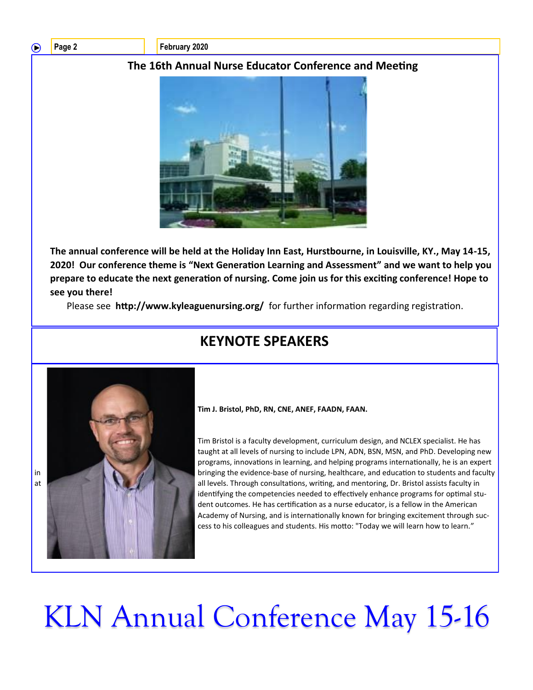◠

Page 2 **February 2020** 

### **The 16th Annual Nurse Educator Conference and Meeting**



**The annual conference will be held at the Holiday Inn East, Hurstbourne, in Louisville, KY., May 14-15, 2020! Our conference theme is "Next Generation Learning and Assessment" and we want to help you prepare to educate the next generation of nursing. Come join us for this exciting conference! Hope to see you there!** 

Please see **http://www.kyleaguenursing.org/** for further information regarding registration.

# **KEYNOTE SPEAKERS**



**Tim J. Bristol, PhD, RN, CNE, ANEF, FAADN, FAAN.** 

Tim Bristol is a faculty development, curriculum design, and NCLEX specialist. He has taught at all levels of nursing to include LPN, ADN, BSN, MSN, and PhD. Developing new programs, innovations in learning, and helping programs internationally, he is an expert in bringing the evidence-base of nursing, healthcare, and education to students and faculty at all levels. Through consultations, writing, and mentoring, Dr. Bristol assists faculty in identifying the competencies needed to effectively enhance programs for optimal student outcomes. He has certification as a nurse educator, is a fellow in the American Academy of Nursing, and is internationally known for bringing excitement through success to his colleagues and students. His motto: "Today we will learn how to learn."

# KLN Annual Conference May 15-16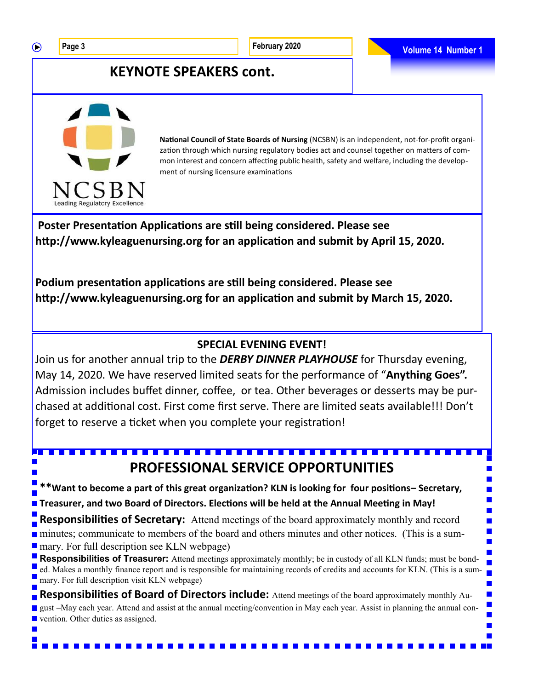$\bigcirc$ 

 $\blacksquare$ 

H

**Contract** 

## **KEYNOTE SPEAKERS cont.**



**National Council of State Boards of Nursing** (NCSBN) is an independent, not-for-profit organization through which nursing regulatory bodies act and counsel together on matters of common interest and concern affecting public health, safety and welfare, including the development of nursing licensure examinations

**Poster Presentation Applications are still being considered. Please see http://www.kyleaguenursing.org for an application and submit by April 15, 2020.** 

**Podium presentation applications are still being considered. Please see http://www.kyleaguenursing.org for an application and submit by March 15, 2020.** 

### **SPECIAL EVENING EVENT!**

Join us for another annual trip to the *DERBY DINNER PLAYHOUSE* for Thursday evening, May 14, 2020. We have reserved limited seats for the performance of "**Anything Goes".**  Admission includes buffet dinner, coffee, or tea. Other beverages or desserts may be purchased at additional cost. First come first serve. There are limited seats available!!! Don't forget to reserve a ticket when you complete your registration!

## **PROFESSIONAL SERVICE OPPORTUNITIES**

**\*\*Want to become a part of this great organization? KLN is looking for four positions– Secretary, Theasurer, and two Board of Directors. Elections will be held at the Annual Meeting in May!** 

**Responsibilities of Secretary:** Attend meetings of the board approximately monthly and record

minutes; communicate to members of the board and others minutes and other notices. (This is a sum**nary.** For full description see KLN webpage)

**Responsibilities of Treasurer:** Attend meetings approximately monthly; be in custody of all KLN funds; must be bonded. Makes a monthly finance report and is responsible for maintaining records of credits and accounts for KLN. (This is a summary. For full description visit KLN webpage)

**Responsibilities of Board of Directors include:** Attend meetings of the board approximately monthly August –May each year. Attend and assist at the annual meeting/convention in May each year. Assist in planning the annual convention. Other duties as assigned.